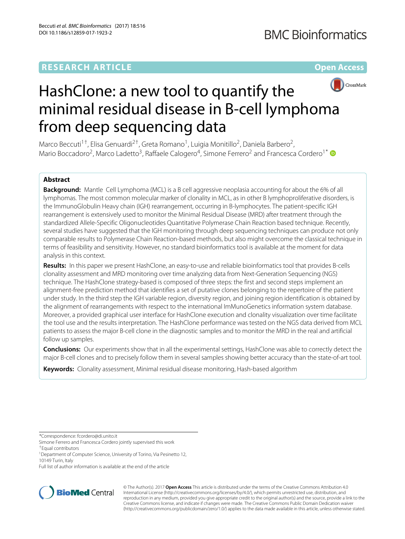# **RESEARCH ARTICLE Open Access**



# HashClone: a new tool to quantify the minimal residual disease in B-cell lymphoma from deep sequencing data

Marco Beccuti<sup>1†</sup>, Elisa Genuardi<sup>2†</sup>, Greta Romano<sup>1</sup>, Luigia Monitillo<sup>2</sup>, Daniela Barbero<sup>2</sup>, Mario Boccadoro<sup>2</sup>, Marco Ladetto<sup>3</sup>, Raffaele Calogero<sup>4</sup>, Simone Ferrero<sup>2</sup> and Francesca Cordero<sup>1\*</sup>

# **Abstract**

**Background:** Mantle Cell Lymphoma (MCL) is a B cell aggressive neoplasia accounting for about the 6% of all lymphomas. The most common molecular marker of clonality in MCL, as in other B lymphoproliferative disorders, is the ImmunoGlobulin Heavy chain (IGH) rearrangement, occurring in B-lymphocytes. The patient-specific IGH rearrangement is extensively used to monitor the Minimal Residual Disease (MRD) after treatment through the standardized Allele-Specific Oligonucleotides Quantitative Polymerase Chain Reaction based technique. Recently, several studies have suggested that the IGH monitoring through deep sequencing techniques can produce not only comparable results to Polymerase Chain Reaction-based methods, but also might overcome the classical technique in terms of feasibility and sensitivity. However, no standard bioinformatics tool is available at the moment for data analysis in this context.

**Results:** In this paper we present HashClone, an easy-to-use and reliable bioinformatics tool that provides B-cells clonality assessment and MRD monitoring over time analyzing data from Next-Generation Sequencing (NGS) technique. The HashClone strategy-based is composed of three steps: the first and second steps implement an alignment-free prediction method that identifies a set of putative clones belonging to the repertoire of the patient under study. In the third step the IGH variable region, diversity region, and joining region identification is obtained by the alignment of rearrangements with respect to the international ImMunoGenetics information system database. Moreover, a provided graphical user interface for HashClone execution and clonality visualization over time facilitate the tool use and the results interpretation. The HashClone performance was tested on the NGS data derived from MCL patients to assess the major B-cell clone in the diagnostic samples and to monitor the MRD in the real and artificial follow up samples.

**Conclusions:** Our experiments show that in all the experimental settings, HashClone was able to correctly detect the major B-cell clones and to precisely follow them in several samples showing better accuracy than the state-of-art tool.

**Keywords:** Clonality assessment, Minimal residual disease monitoring, Hash-based algorithm

\*Correspondence: [fcordero@di.unito.it](mailto: fcordero@di.unito.it)

Simone Ferrero and Francesca Cordero jointly supervised this work

†Equal contributors

Full list of author information is available at the end of the article



© The Author(s). 2017 **Open Access** This article is distributed under the terms of the Creative Commons Attribution 4.0 International License [\(http://creativecommons.org/licenses/by/4.0/\)](http://creativecommons.org/licenses/by/4.0/), which permits unrestricted use, distribution, and reproduction in any medium, provided you give appropriate credit to the original author(s) and the source, provide a link to the Creative Commons license, and indicate if changes were made. The Creative Commons Public Domain Dedication waiver [\(http://creativecommons.org/publicdomain/zero/1.0/\)](http://creativecommons.org/publicdomain/zero/1.0/) applies to the data made available in this article, unless otherwise stated.

<sup>&</sup>lt;sup>1</sup> Department of Computer Science, University of Torino, Via Pesinetto 12, 10149 Turin, Italy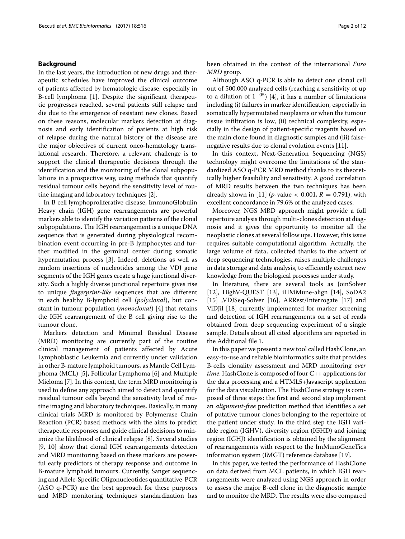#### **Background**

In the last years, the introduction of new drugs and therapeutic schedules have improved the clinical outcome of patients affected by hematologic disease, especially in B-cell lymphoma [\[1\]](#page-11-0). Despite the significant therapeutic progresses reached, several patients still relapse and die due to the emergence of resistant new clones. Based on these reasons, molecular markers detection at diagnosis and early identification of patients at high risk of relapse during the natural history of the disease are the major objectives of current onco-hematology translational research. Therefore, a relevant challenge is to support the clinical therapeutic decisions through the identification and the monitoring of the clonal subpopulations in a prospective way, using methods that quantify residual tumour cells beyond the sensitivity level of routine imaging and laboratory techniques [\[2\]](#page-11-1).

In B cell lymphoproliferative disease, ImmunoGlobulin Heavy chain (IGH) gene rearrangements are powerful markers able to identify the variation patterns of the clonal subpopulations. The IGH rearrangement is a unique DNA sequence that is generated during physiological recombination event occurring in pre-B lymphocytes and further modified in the germinal center during somatic hypermutation process [\[3\]](#page-11-2). Indeed, deletions as well as random insertions of nucleotides among the VDJ gene segments of the IGH genes create a huge junctional diversity. Such a highly diverse junctional repertoire gives rise to unique *fingerprint-like* sequences that are different in each healthy B-lymphoid cell (*polyclonal*), but constant in tumour population (*monoclonal*) [\[4\]](#page-11-3) that retains the IGH rearrangement of the B cell giving rise to the tumour clone.

Markers detection and Minimal Residual Disease (MRD) monitoring are currently part of the routine clinical management of patients affected by Acute Lymphoblastic Leukemia and currently under validation in other B-mature lymphoid tumours, as Mantle Cell Lymphoma (MCL) [\[5\]](#page-11-4), Follicular Lymphoma [\[6\]](#page-11-5) and Multiple Mieloma [\[7\]](#page-11-6). In this context, the term MRD monitoring is used to define any approach aimed to detect and quantify residual tumour cells beyond the sensitivity level of routine imaging and laboratory techniques. Basically, in many clinical trials MRD is monitored by Polymerase Chain Reaction (PCR) based methods with the aims to predict therapeutic responses and guide clinical decisions to minimize the likelihood of clinical relapse [\[8\]](#page-11-7). Several studies [\[9,](#page-11-8) [10\]](#page-11-9) show that clonal IGH rearrangements detection and MRD monitoring based on these markers are powerful early predictors of therapy response and outcome in B-mature lymphoid tumours. Currently, Sanger sequencing and Allele-Specific Oligonucleotides quantitative-PCR (ASO q-PCR) are the best approach for these purposes and MRD monitoring techniques standardization has

been obtained in the context of the international *Euro MRD* group.

Although ASO q-PCR is able to detect one clonal cell out of 500.000 analyzed cells (reaching a sensitivity of up to a dilution of  $1^{-05}$ ) [\[4\]](#page-11-3), it has a number of limitations including (i) failures in marker identification, especially in somatically hypermutated neoplasms or when the tumour tissue infiltration is low, (ii) technical complexity, especially in the design of patient-specific reagents based on the main clone found in diagnostic samples and (iii) falsenegative results due to clonal evolution events [\[11\]](#page-11-10).

In this context, Next-Generation Sequencing (NGS) technology might overcome the limitations of the standardized ASO q-PCR MRD method thanks to its theoretically higher feasibility and sensitivity. A good correlation of MRD results between the two techniques has been already shown in [\[11\]](#page-11-10) (*p*-value  $<$  0.001, *R* = 0.791), with excellent concordance in 79.6% of the analyzed cases.

Moreover, NGS MRD approach might provide a full repertoire analysis through multi-clones detection at diagnosis and it gives the opportunity to monitor all the neoplastic clones at several follow ups. However, this issue requires suitable computational algorithm. Actually, the large volume of data, collected thanks to the advent of deep sequencing technologies, raises multiple challenges in data storage and data analysis, to efficiently extract new knowledge from the biological processes under study.

In literature, there are several tools as JoinSolver [\[12\]](#page-11-11), HighV-QUEST [\[13\]](#page-11-12), iHMMune-align [\[14\]](#page-11-13), SoDA2 [\[15\]](#page-11-14) ,VDJSeq-Solver [\[16\]](#page-11-15), ARRest/Interrogate [\[17\]](#page-11-16) and ViDJil [\[18\]](#page-11-17) currently implemented for marker screening and detection of IGH rearrangements on a set of reads obtained from deep sequencing experiment of a single sample. Details about all cited algorithms are reported in the Additional file [1.](#page-10-0)

In this paper we present a new tool called HashClone, an easy-to-use and reliable bioinformatics suite that provides B-cells clonality assessment and MRD monitoring *over time*. HashClone is composed of four C++ applications for the data processing and a HTML5+Javascript application for the data visualization. The HashClone strategy is composed of three steps: the first and second step implement an *alignment-free* prediction method that identifies a set of putative tumour clones belonging to the repertoire of the patient under study. In the third step the IGH variable region (IGHV), diversity region (IGHD) and joining region (IGHJ) identification is obtained by the alignment of rearrangements with respect to the ImMunoGeneTics information system (IMGT) reference database [\[19\]](#page-11-18).

In this paper, we tested the performance of HashClone on data derived from MCL patients, in which IGH rearrangements were analyzed using NGS approach in order to assess the major B-cell clone in the diagnostic sample and to monitor the MRD. The results were also compared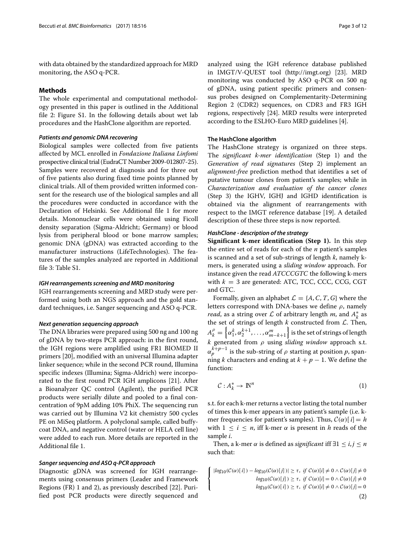with data obtained by the standardized approach for MRD monitoring, the ASO q-PCR.

# **Methods**

The whole experimental and computational methodology presented in this paper is outlined in the Additional file [2:](#page-10-1) Figure S1. In the following details about wet lab procedures and the HashClone algorithm are reported.

#### *Patients and genomic DNA recovering*

Biological samples were collected from five patients affected by MCL enrolled in *Fondazione Italiana Linfomi* prospective clinical trial (EudraCT Number 2009-012807-25). Samples were recovered at diagnosis and for three out of five patients also during fixed time points planned by clinical trials. All of them provided written informed consent for the research use of the biological samples and all the procedures were conducted in accordance with the Declaration of Helsinki. See Additional file [1](#page-10-0) for more details. Mononuclear cells were obtained using Ficoll density separation (Sigma-Aldricht; Germany) or blood lysis from peripheral blood or bone marrow samples; genomic DNA (gDNA) was extracted according to the manufacturer instructions (LifeTechnologies). The features of the samples analyzed are reported in Additional file [3:](#page-10-2) Table S1.

#### *IGH rearrangements screening and MRD monitoring*

IGH rearrangements screening and MRD study were performed using both an NGS approach and the gold standard techniques, i.e. Sanger sequencing and ASO q-PCR.

#### *Next generation sequencing approach*

The DNA libraries were prepared using 500 ng and 100 ng of gDNA by two-steps PCR approach: in the first round, the IGH regions were amplified using FR1 BIOMED II primers [\[20\]](#page-11-19), modified with an universal Illumina adapter linker sequence; while in the second PCR round, Illumina specific indexes (Illumina; Sigma-Aldrich) were incorporated to the first round PCR IGH amplicons [\[21\]](#page-11-20). After a Bioanalyzer QC control (Agilent), the purified PCR products were serially dilute and pooled to a final concentration of 9pM adding 10% PhiX. The sequencing run was carried out by Illumina V2 kit chemistry 500 cycles PE on MiSeq platform. A polyclonal sample, called buffycoat DNA, and negative control (water or HELA cell line) were added to each run. More details are reported in the Additional file [1.](#page-10-0)

#### *Sanger sequencing and ASO q-PCR approach*

Diagnostic gDNA was screened for IGH rearrangements using consensus primers (Leader and Framework Regions (FR) 1 and 2), as previously described [\[22\]](#page-11-21). Purified post PCR products were directly sequenced and analyzed using the IGH reference database published in IMGT/V-QUEST tool [\(http://imgt.org\)](http://imgt.org) [\[23\]](#page-11-22). MRD monitoring was conducted by ASO q-PCR on 500 ng of gDNA, using patient specific primers and consensus probes designed on Complementarity-Determining Region 2 (CDR2) sequences, on CDR3 and FR3 IGH regions, respectively [\[24\]](#page-11-23). MRD results were interpreted according to the ESLHO-Euro MRD guidelines [\[4\]](#page-11-3).

#### **The HashClone algorithm**

The HashClone strategy is organized on three steps. The *significant k-mer identification* (Step 1) and the *Generation of read signatures* (Step 2) implement an *alignment-free* prediction method that identifies a set of putative tumour clones from patient's samples; while in *Characterization and evaluation of the cancer clones* (Step 3) the IGHV, IGHJ and IGHD identification is obtained via the alignment of rearrangements with respect to the IMGT reference database [\[19\]](#page-11-18). A detailed description of these three steps is now reported.

#### *HashClone - description of the strategy*

**Significant k-mer identification (Step 1).** In this step the entire set of reads for each of the *n* patient's samples is scanned and a set of sub-strings of length *k*, namely kmers, is generated using a *sliding window* approach. For instance given the read *ATCCCGTC* the following k-mers with  $k = 3$  are generated: ATC, TCC, CCC, CCG, CGT and GTC.

Formally, given an alphabet  $\mathcal{L} = \{A, C, T, G\}$  where the letters correspond with DNA-bases we define  $\rho$ , namely *read*, as a string over  $\mathcal L$  of arbitrary length *m*, and  $A_k^*$  as the set of strings of length  $k$  constructed from  $L$ . Then,  $A_k^{\rho} = \left\{\alpha_1^k, \alpha_2^{k+1}, \ldots, \alpha_{m-k+1}^m\right\}$  is the set of strings of length *k* generated from ρ using *sliding window* approach s.t.  $\alpha_p^{k+p-1}$  is the sub-string of  $\rho$  starting at position  $p$ , spanning *k* characters and ending at  $k + p - 1$ . We define the function:

$$
\mathcal{C}: A_k^* \to \mathbb{N}^n \tag{1}
$$

s.t. for each k-mer returns a vector listing the total number of times this k-mer appears in any patient's sample (i.e. kmer frequencies for patient's samples). Thus,  $C(\alpha)$ [ $i$ ] = *h* with  $1 \leq i \leq n$ , iff k-mer  $\alpha$  is present in *h* reads of the sample *i*.

<span id="page-2-0"></span>Then, a k-mer  $\alpha$  is defined as *significant* iff  $\exists 1 \leq i, j \leq n$ such that:

$$
\left\{\n\begin{aligned}\n\left|\log_{10}(C(\alpha)[i]) - \log_{10}(C(\alpha)[j])\right| &\geq \tau, & \text{if } C(\alpha)[i] \neq 0 \land C(\alpha)[j] \neq 0 \\
\log_{10}(C(\alpha)[j]) &\geq \tau, & \text{if } C(\alpha)[i] = 0 \land C(\alpha)[j] \neq 0 \\
\log_{10}(C(\alpha)[i]) &\geq \tau, & \text{if } C(\alpha)[i] \neq 0 \land C(\alpha)[j] = 0\n\end{aligned}\n\right.\n\tag{2}
$$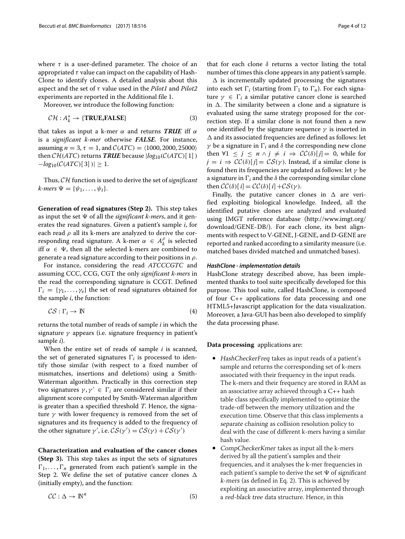where  $\tau$  is a user-defined parameter. The choice of an appropriated  $\tau$  value can impact on the capability of Hash-Clone to identify clones. A detailed analysis about this aspect and the set of τ value used in the *Pilot1* and *Pilot2* experiments are reported in the Additional file [1.](#page-10-0)

Moreover, we introduce the following function:

$$
\mathcal{CH}: A_k^* \to \{\text{TRUE, FALSE}\}\tag{3}
$$

that takes as input a k-mer  $\alpha$  and returns **TRUE** iff  $\alpha$ is a *significant k-mer* otherwise *FALSE*. For instance, assuming  $n = 3$ ,  $\tau = 1$ , and  $C(ATC) = \langle 1000, 2000, 25000 \rangle$ then  $\mathcal{CH}(ATC)$  returns **TRUE** because  $|log_{10}(\mathcal{C}(ATC)[1])$  $-\log_{10}(\mathcal{C}(ATC)[3])| \geq 1.$ 

Thus, CH function is used to derive the set of *significant*  $k$ *-mers*  $\Psi = {\psi_1, \ldots, \psi_t}.$ 

**Generation of read signatures (Step 2).** This step takes as input the set  $\Psi$  of all the *significant k-mers*, and it generates the read signatures. Given a patient's sample *i*, for each read  $\rho$  all its k-mers are analyzed to derive the corresponding read signature. A k-mer  $\alpha \in A_k^{\rho}$  is selected iff  $\alpha \in \Psi$ , then all the selected k-mers are combined to generate a read signature according to their positions in  $\rho$ .

For instance, considering the read *ATCCCGTC* and assuming CCC, CCG, CGT the only *significant k-mers* in the read the corresponding signature is CCGT. Defined  $\Gamma_i = \{ \gamma_1, \ldots, \gamma_e \}$  the set of read signatures obtained for the sample *i*, the function:

$$
CS: \Gamma_i \to \mathbb{N} \tag{4}
$$

returns the total number of reads of sample *i* in which the signature  $\gamma$  appears (i.e. signature frequency in patient's sample *i*).

When the entire set of reads of sample *i* is scanned, the set of generated signatures  $\Gamma_i$  is processed to identify those similar (with respect to a fixed number of mismatches, insertions and deletions) using a Smith-Waterman algorithm. Practically in this correction step two signatures  $\gamma$ ,  $\gamma' \in \Gamma_i$  are considered similar if their alignment score computed by Smith-Waterman algorithm is greater than a specified threshold *T*. Hence, the signature  $\gamma$  with lower frequency is removed from the set of signatures and its frequency is added to the frequency of the other signature  $\gamma'$ , i.e.  $\mathcal{CS}(\gamma') = \mathcal{CS}(\gamma) + \mathcal{CS}(\gamma')$ 

**Characterization and evaluation of the cancer clones (Step 3).** This step takes as input the sets of signatures  $\Gamma_1, \ldots, \Gamma_n$  generated from each patient's sample in the Step 2. We define the set of putative cancer clones  $\Delta$ (initially empty), and the function:

$$
CC: \Delta \to \mathbb{N}^n \tag{5}
$$

that for each clone  $\delta$  returns a vector listing the total number of times this clone appears in any patient's sample.

 $\Delta$  is incrementally updated processing the signatures into each set  $\Gamma_i$  (starting from  $\Gamma_1$  to  $\Gamma_n$ ). For each signature  $\gamma \in \Gamma_i$  a similar putative cancer clone is searched in  $\Delta$ . The similarity between a clone and a signature is evaluated using the same strategy proposed for the correction step. If a similar clone is not found then a new one identified by the signature sequence  $\gamma$  is inserted in  $\Delta$  and its associated frequencies are defined as follows: let  $\gamma$  be a signature in  $\Gamma_i$  and  $\delta$  the corresponding new clone then  $\forall 1 \leq j \leq n \land j \neq i \Rightarrow CC(\delta)[j] = 0$ , while for  $j = i \Rightarrow CC(\delta)[j] = CS(\gamma)$ . Instead, if a similar clone is found then its frequencies are updated as follows: let  $\gamma$  be a signature in  $\Gamma_i$  and the  $\delta$  the corresponding similar clone then  $\mathcal{CC}(\delta)[i] = \mathcal{CC}(\delta)[i] + \mathcal{CS}(\gamma)$ .

Finally, the putative cancer clones in  $\Delta$  are verified exploiting biological knowledge. Indeed, all the identified putative clones are analyzed and evaluated using IMGT reference database [\(http://www.imgt.org/](http://www.imgt.org/download/GENE-DB/) [download/GENE-DB/\)](http://www.imgt.org/download/GENE-DB/). For each clone, its best alignments with respect to V-GENE, J-GENE, and D-GENE are reported and ranked according to a similarity measure (i.e. matched bases divided matched and unmatched bases).

#### *HashClone - implementation details*

HashClone strategy described above, has been implemented thanks to tool suite specifically developed for this purpose. This tool suite, called HashClone, is composed of four C++ applications for data processing and one HTML5+Javascript application for the data visualization. Moreover, a Java-GUI has been also developed to simplify the data processing phase.

# **Data processing** applications are:

- HashCheckerFreq takes as input reads of a patient's sample and returns the corresponding set of k-mers associated with their frequency in the input reads. The k-mers and their frequency are stored in RAM as an associative array achieved through a C++ hash table class specifically implemented to optimize the trade-off between the memory utilization and the execution time. Observe that this class implements a separate chaining as collision resolution policy to deal with the case of different k-mers having a similar hash value.
- CompCheckerKmer takes as input all the k-mers derived by all the patient's samples and their frequencies, and it analyses the k-mer frequencies in each patient's sample to derive the set  $\Psi$  of significant k-mers (as defined in Eq. [2\)](#page-2-0). This is achieved by exploiting an associative array, implemented through a red-black tree data structure. Hence, in this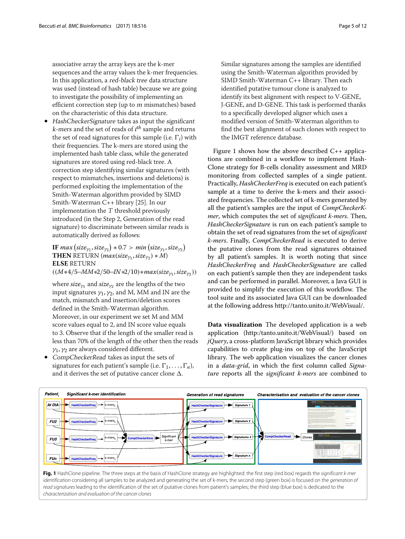associative array the array keys are the k-mer sequences and the array values the k-mer frequencies. In this application, a red-black tree data structure was used (instead of hash table) because we are going to investigate the possibility of implementing an efficient correction step (up to <sup>m</sup> mismatches) based on the characteristic of this data structure.

• HashCheckerSignature takes as input the significant k-mers and the set of reads of *i th* sample and returns the set of read signatures for this sample (i.e.  $\Gamma_i$ ) with their frequencies. The k-mers are stored using the implemented hash table class, while the generated signatures are stored using red-black tree. A correction step identifying similar signatures (with respect to mismatches, insertions and deletions) is performed exploiting the implementation of the Smith-Waterman algorithm provided by SIMD Smith-Waterman C++ library [\[25\]](#page-11-24). In our implementation the <sup>T</sup> threshold previously introduced (in the Step 2, Generation of the read signature) to discriminate between similar reads is automatically derived as follows:

**IF** max  $\left( \text{size}_{\gamma_1}, \text{size}_{\gamma_2} \right) * 0.7 > \textit{min} \left( \text{size}_{\gamma_1}, \text{size}_{\gamma_2} \right)$ **THEN** RETURN (*max*(*size*<sub>γ1</sub>, *size*<sub>γ2</sub>)  $* M$ ) **ELSE** RETURN  $((M*4/5–MM*2/50–IN*2/10)*max(size_{\gamma_1},size_{\gamma_2}))$ 

where *size*<sub>γ1</sub> and *size*<sub>γ2</sub> are the lengths of the two input signatures  $\gamma_1$ ,  $\gamma_2$ , and M, MM and IN are the match, mismatch and insertion/deletion scores defined in the Smith-Waterman algorithm. Moreover, in our experiment we set M and MM score values equal to 2, and IN score value equals to 3. Observe that if the length of the smaller read is less than 70% of the length of the other then the reads  $\gamma_1$ ,  $\gamma_2$  are always considered different.

• CompCheckerRead takes as input the sets of signatures for each patient's sample (i.e.  $\Gamma_1, \ldots, \Gamma_n$ ), and it derives the set of putative cancer clone  $\Delta$ .

Similar signatures among the samples are identified using the Smith-Waterman algorithm provided by SIMD Smith-Waterman C++ library. Then each identified putative tumour clone is analyzed to identify its best alignment with respect to V-GENE, J-GENE, and D-GENE. This task is performed thanks to a specifically developed aligner which uses a modified version of Smith-Waterman algorithm to find the best alignment of such clones with respect to the IMGT reference database.

Figure [1](#page-4-0) shows how the above described C++ applications are combined in a workflow to implement Hash-Clone strategy for B-cells clonality assessment and MRD monitoring from collected samples of a single patient. Practically, *HashCheckerFreq* is executed on each patient's sample at a time to derive the k-mers and their associated frequencies. The collected set of k-mers generated by all the patient's samples are the input of *CompCheckerKmer*, which computes the set of *significant k-mers*. Then, *HashCheckerSignature* is run on each patient's sample to obtain the set of read signatures from the set of *significant k-mers*. Finally, *CompCheckerRead* is executed to derive the putative clones from the read signatures obtained by all patient's samples. It is worth noting that since *HashCheckerFreq* and *HashCheckerSignature* are called on each patient's sample then they are independent tasks and can be performed in parallel. Moreover, a Java GUI is provided to simplify the execution of this workflow. The tool suite and its associated Java GUI can be downloaded at the following address [http://tanto.unito.it/WebVisual/.](http://tanto.unito.it/WebVisual/)

**Data visualization** The developed application is a web application [\(http:/tanto.unito.it/WebVisual/\)](http:/tanto.unito.it/WebVisual/) based on *jQuery*, a cross-platform JavaScript library which provides capabilities to create plug-ins on top of the JavaScript library. The web application visualizes the cancer clones in a *data-grid*, in which the first column called *Signature* reports all the *significant k-mers* are combined to



<span id="page-4-0"></span>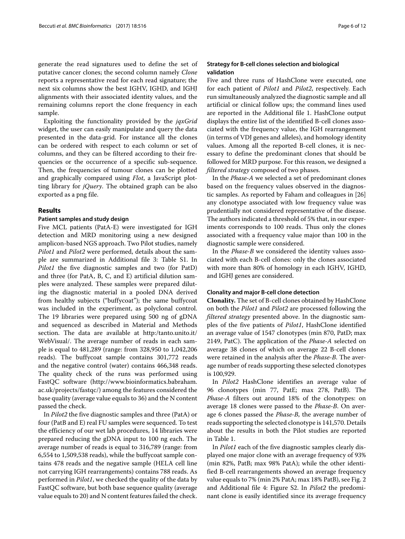generate the read signatures used to define the set of putative cancer clones; the second column namely *Clone* reports a representative read for each read signature; the next six columns show the best IGHV, IGHD, and IGHJ alignments with their associated identity values, and the remaining columns report the clone frequency in each sample.

Exploiting the functionality provided by the *jqxGrid* widget, the user can easily manipulate and query the data presented in the data-grid. For instance all the clones can be ordered with respect to each column or set of columns, and they can be filtered according to their frequencies or the occurrence of a specific sub-sequence. Then, the frequencies of tumour clones can be plotted and graphically compared using *Flot*, a JavaScript plotting library for *jQuery*. The obtained graph can be also exported as a png file.

#### **Results**

#### **Patient samples and study design**

Five MCL patients (PatA-E) were investigated for IGH detection and MRD monitoring using a new designed amplicon-based NGS approach. Two Pilot studies, namely *Pilot1* and *Pilot2* were performed, details about the sample are summarized in Additional file [3:](#page-10-2) Table S1. In *Pilot1* the five diagnostic samples and two (for PatD) and three (for PatA, B, C, and E) artificial dilution samples were analyzed. These samples were prepared diluting the diagnostic material in a pooled DNA derived from healthy subjects ("buffycoat"); the same buffycoat was included in the experiment, as polyclonal control. The 19 libraries were prepared using 500 ng of gDNA and sequenced as described in Material and Methods section. The data are available at [http:/tanto.unito.it/](http:/tanto.unito.it/WebVisual/) [WebVisual/.](http:/tanto.unito.it/WebVisual/) The average number of reads in each sample is equal to 481,289 (range: from 328,950 to 1,042,206 reads). The buffycoat sample contains 301,772 reads and the negative control (water) contains 466,348 reads. The quality check of the runs was performed using FastQC software [\(http://www.bioinformatics.babraham.](http://www.bioinformatics.babraham.ac.uk/projects/fastqc/) [ac.uk/projects/fastqc/\)](http://www.bioinformatics.babraham.ac.uk/projects/fastqc/) among the features considered the base quality (average value equals to 36) and the N content passed the check.

In *Pilot2* the five diagnostic samples and three (PatA) or four (PatB and E) real FU samples were sequenced. To test the efficiency of our wet lab procedures, 14 libraries were prepared reducing the gDNA input to 100 ng each. The average number of reads is equal to 316,789 (range: from 6,554 to 1,509,538 reads), while the buffycoat sample contains 478 reads and the negative sample (HELA cell line not carrying IGH rearrangements) contains 788 reads. As performed in *Pilot1*, we checked the quality of the data by FastQC software, but both base sequence quality (average value equals to 20) and N content features failed the check.

# **Strategy for B-cell clones selection and biological validation**

Five and three runs of HashClone were executed, one for each patient of *Pilot1* and *Pilot2*, respectively. Each run simultaneously analyzed the diagnostic sample and all artificial or clinical follow ups; the command lines used are reported in the Additional file [1.](#page-10-0) HashClone output displays the entire list of the identified B-cell clones associated with the frequency value, the IGH rearrangement (in terms of VDJ genes and alleles), and homology identity values. Among all the reported B-cell clones, it is necessary to define the predominant clones that should be followed for MRD purpose. For this reason, we designed a *filtered strategy* composed of two phases.

In the *Phase-A* we selected a set of predominant clones based on the frequency values observed in the diagnostic samples. As reported by Faham and colleagues in [\[26\]](#page-11-25) any clonotype associated with low frequency value was prudentially not considered representative of the disease. The authors indicated a threshold of 5% that, in our experiments corresponds to 100 reads. Thus only the clones associated with a frequency value major than 100 in the diagnostic sample were considered.

In the *Phase-B* we considered the identity values associated with each B-cell clones: only the clones associated with more than 80% of homology in each IGHV, IGHD, and IGHJ genes are considered.

#### **Clonality and major B-cell clone detection**

**Clonality.** The set of B-cell clones obtained by HashClone on both the *Pilot1* and *Pilot2* are processed following the *filtered strategy* presented above. In the diagnostic samples of the five patients of *Pilot1*, HashClone identified an average value of 1547 clonotypes (min 870, PatD; max 2149, PatC). The application of the *Phase-A* selected on average 38 clones of which on average 22 B-cell clones were retained in the analysis after the *Phase-B*. The average number of reads supporting these selected clonotypes is 100,929.

In *Pilot2* HashClone identifies an average value of 96 clonotypes (min 77, PatE; max 278, PatB). The *Phase-A* filters out around 18% of the clonotypes: on average 18 clones were passed to the *Phase-B*. On average 6 clones passed the *Phase-B*, the average number of reads supporting the selected clonotype is 141,570. Details about the results in both the Pilot studies are reported in Table [1.](#page-6-0)

In *Pilot1* each of the five diagnostic samples clearly displayed one major clone with an average frequency of 93% (min 82%, PatB; max 98% PatA); while the other identified B-cell rearrangements showed an average frequency value equals to 7% (min 2% PatA; max 18% PatB), see Fig. [2](#page-7-0) and Additional file [4:](#page-10-3) Figure S2. In *Pilot2* the predominant clone is easily identified since its average frequency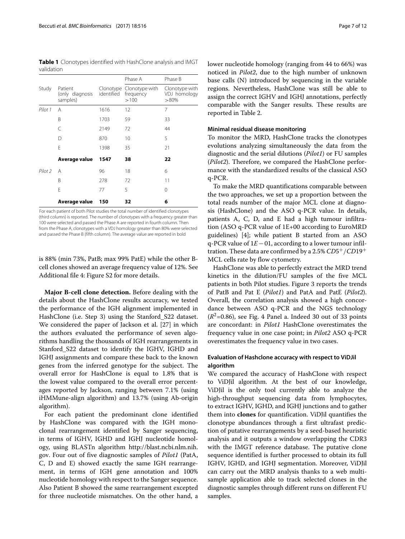<span id="page-6-0"></span>**Table 1** Clonotypes identified with HashClone analysis and IMGT validation

|                    |                                        |                         | Phase A                             | Phase B                                   |
|--------------------|----------------------------------------|-------------------------|-------------------------------------|-------------------------------------------|
| Study              | Patient<br>(only diagnosis<br>samples) | Clonotype<br>identified | Clonotype with<br>frequency<br>>100 | Clonotype with<br>VDJ homology<br>$>80\%$ |
| Pilot 1            | A                                      | 1616                    | 12                                  | 7                                         |
|                    | B                                      | 1703                    | 59                                  | 33                                        |
|                    | C                                      | 2149                    | 72                                  | 44                                        |
|                    | D                                      | 870                     | 10                                  | 5                                         |
|                    | F                                      | 1398                    | 35                                  | 21                                        |
|                    | Average value                          | 1547                    | 38                                  | 22                                        |
| Pilot <sub>2</sub> | Α                                      | 96                      | 18                                  | 6                                         |
|                    | B                                      | 278                     | 72                                  | 11                                        |
|                    | E                                      | 77                      | 5                                   | 0                                         |
|                    | Average value                          | 150                     | 32                                  | 6                                         |

For each patient of both Pilot studies the total number of identified clonotypes (third column) is reported. The number of clonotypes with a frequency greater than 100 were selected and passed the Phase A are reported in fourth column. Then from the Phase A, clonotypes with a VDJ homology greater than 80% were selected and passed the Phase B (fifth column). The average value are reported in bold

is 88% (min 73%, PatB; max 99% PatE) while the other Bcell clones showed an average frequency value of 12%. See Additional file [4:](#page-10-3) Figure S2 for more details.

**Major B-cell clone detection.** Before dealing with the details about the HashClone results accuracy, we tested the performance of the IGH alignment implemented in HashClone (i.e. Step 3) using the Stanford\_S22 dataset. We considered the paper of Jackson et al. [\[27\]](#page-11-26) in which the authors evaluated the performance of seven algorithms handling the thousands of IGH rearrangements in Stanford\_S22 dataset to identify the IGHV, IGHD and IGHJ assignments and compare these back to the known genes from the inferred genotype for the subject. The overall error for HashClone is equal to 1.8% that is the lowest value compared to the overall error percentages reported by Jackson, ranging between 7.1% (using iHMMune-align algorithm) and 13.7% (using Ab-origin algorithm).

For each patient the predominant clone identified by HashClone was compared with the IGH monoclonal rearrangement identified by Sanger sequencing, in terms of IGHV, IGHD and IGHJ nucleotide homology, using BLASTn algorithm [http://blast.ncbi.nlm.nih.](http://blast.ncbi.nlm.nih.gov) [gov.](http://blast.ncbi.nlm.nih.gov) Four out of five diagnostic samples of *Pilot1* (PatA, C, D and E) showed exactly the same IGH rearrangement, in terms of IGH gene annotation and 100% nucleotide homology with respect to the Sanger sequence. Also Patient B showed the same rearrangement excepted for three nucleotide mismatches. On the other hand, a lower nucleotide homology (ranging from 44 to 66%) was noticed in *Pilot2*, due to the high number of unknown base calls (N) introduced by sequencing in the variable regions. Nevertheless, HashClone was still be able to assign the correct IGHV and IGHJ annotations, perfectly comparable with the Sanger results. These results are reported in Table [2.](#page-8-0)

### **Minimal residual disease monitoring**

To monitor the MRD, HashClone tracks the clonotypes evolutions analyzing simultaneously the data from the diagnostic and the serial dilutions (*Pilot1*) or FU samples (*Pilot2*). Therefore, we compared the HashClone performance with the standardized results of the classical ASO q-PCR.

To make the MRD quantifications comparable between the two approaches, we set up a proportion between the total reads number of the major MCL clone at diagnosis (HashClone) and the ASO q-PCR value. In details, patients A, C, D, and E had a high tumour infiltration (ASO q-PCR value of 1E+00 according to EuroMRD guidelines) [\[4\]](#page-11-3); while patient B started from an ASO q-PCR value of 1*E*−01, according to a lower tumour infiltration. These data are confirmed by a 2.5% *CD*5+/*CD*19+ MCL cells rate by flow cytometry.

HashClone was able to perfectly extract the MRD trend kinetics in the dilution/FU samples of the five MCL patients in both Pilot studies. Figure [3](#page-8-1) reports the trends of PatB and Pat E (*Pilot1*) and PatA and PatE (*Pilot2*). Overall, the correlation analysis showed a high concordance between ASO q-PCR and the NGS technology  $(R^2=0.86)$ , see Fig. [4](#page-9-0) Panel [a.](#page-9-1) Indeed 30 out of 33 points are concordant: in *Pilot1* HashClone overestimates the frequency value in one case point; in *Pilot2* ASO q-PCR overestimates the frequency value in two cases.

# **Evaluation of Hashclone accuracy with respect to ViDJil algorithm**

We compared the accuracy of HashClone with respect to ViDJil algorithm. At the best of our knowledge, ViDJil is the only tool currently able to analyze the high-throughput sequencing data from lymphocytes, to extract IGHV, IGHD, and IGHJ junctions and to gather them into **clones** for quantification. ViDJil quantifies the clonotype abundances through a first ultrafast prediction of putative rearrangements by a seed-based heuristic analysis and it outputs a window overlapping the CDR3 with the IMGT reference database. The putative clone sequence identified is further processed to obtain its full IGHV, IGHD, and IGHJ segmentation. Moreover, ViDJil can carry out the MRD analysis thanks to a web multisample application able to track selected clones in the diagnostic samples through different runs on different FU samples.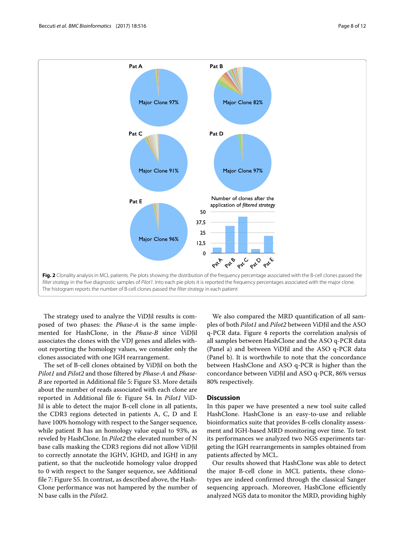

<span id="page-7-0"></span>The strategy used to analyze the ViDJil results is composed of two phases: the *Phase-A* is the same implemented for HashClone, in the *Phase-B* since ViDJil associates the clones with the VDJ genes and alleles without reporting the homology values, we consider only the clones associated with one IGH rearrangement.

The set of B-cell clones obtained by ViDJil on both the *Pilot1* and *Pilot2* and those filtered by *Phase-A* and *Phase-B* are reported in Additional file [5:](#page-10-4) Figure S3. More details about the number of reads associated with each clone are reported in Additional file [6:](#page-10-5) Figure S4. In *Pilot1* ViD-Jil is able to detect the major B-cell clone in all patients, the CDR3 regions detected in patients A, C, D and E have 100% homology with respect to the Sanger sequence, while patient B has an homology value equal to 93%, as reveled by HashClone. In *Pilot2* the elevated number of N base calls masking the CDR3 regions did not allow ViDJil to correctly annotate the IGHV, IGHD, and IGHJ in any patient, so that the nucleotide homology value dropped to 0 with respect to the Sanger sequence, see Additional file [7:](#page-10-6) Figure S5. In contrast, as described above, the Hash-Clone performance was not hampered by the number of N base calls in the *Pilot2*.

We also compared the MRD quantification of all samples of both *Pilot1* and *Pilot2* between ViDJil and the ASO q-PCR data. Figure [4](#page-9-0) reports the correlation analysis of all samples between HashClone and the ASO q-PCR data (Panel [a\)](#page-9-1) and between ViDJil and the ASO q-PCR data (Panel [b\)](#page-9-1). It is worthwhile to note that the concordance between HashClone and ASO q-PCR is higher than the concordance between ViDJil and ASO q-PCR, 86% versus 80% respectively.

### **Discussion**

In this paper we have presented a new tool suite called HashClone. HashClone is an easy-to-use and reliable bioinformatics suite that provides B-cells clonality assessment and IGH-based MRD monitoring over time. To test its performances we analyzed two NGS experiments targeting the IGH rearrangements in samples obtained from patients affected by MCL.

Our results showed that HashClone was able to detect the major B-cell clone in MCL patients, these clonotypes are indeed confirmed through the classical Sanger sequencing approach. Moreover, HashClone efficiently analyzed NGS data to monitor the MRD, providing highly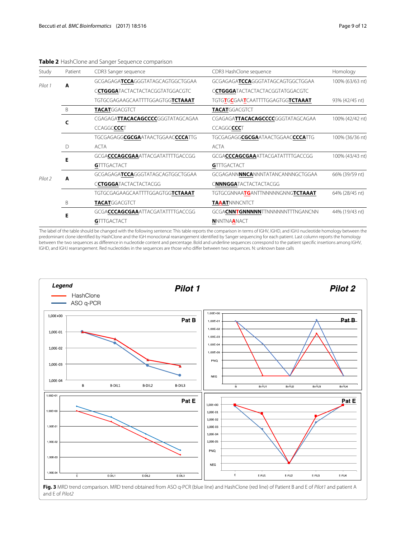<span id="page-8-0"></span>

| Study   | Patient | CDR3 Sanger sequence                               | CDR3 HashClone sequence                           | Homology        |  |
|---------|---------|----------------------------------------------------|---------------------------------------------------|-----------------|--|
| Pilot 1 | A       | GCGAGAGA <b>TCCA</b> GGGTATAGCAGTGGCTGGAA          | GCGAGAGA <b>TCCA</b> GGGTATAGCAGTGGCTGGAA         | 100% (63/63 nt) |  |
|         |         | C <b>CTGGGA</b> TACTACTACTACGGTATGGACGTC           | CCTGGGATACTACTACTACGGTATGGACGTC                   |                 |  |
|         |         | TGTGCGAGAAGCAATTTTGGAGTGGTCTAAAT                   | TGTGTGCGAATCAATTTTGGAGTGGTCTAAAT                  | 93% (42/45 nt)  |  |
|         | B       | <b>TACAT</b> GGACGTCT                              | <b>TACAT</b> GGACGTCT                             |                 |  |
|         | C       | CGAGAGA <b>TTACACAGCCCCC</b> GGGTATAGCAGAA         | CGAGAGA <b>TTACACAGCCCCC</b> GGGTATAGCAGAA        | 100% (42/42 nt) |  |
|         |         | CCAGGCCCCT                                         | CCAGGCCCCT                                        |                 |  |
|         |         | TGCGAGAGG <b>CGCGA</b> ATAACTGGAAC <b>CCCA</b> TTG | TGCGAGAGGCGCGAATAACTGGAACCCCATTG                  | 100% (36/36 nt) |  |
|         | D       | <b>ACTA</b>                                        | <b>ACTA</b>                                       |                 |  |
|         | Е       | GCGACCCAGCGAAATTACGATATTTTGACCGG                   | GCGA <b>CCCAGCGAA</b> ATTACGATATTTTGACCGG         | 100% (43/43 nt) |  |
|         |         | <b>GTTTGACTACT</b>                                 | <b>GTTTGACTACT</b>                                |                 |  |
| Pilot 2 | A       | GCGAGAGA <b>TCCA</b> GGGTATAGCAGTGGCTGGAA          | GCGAGANN <b>NNCA</b> NNNTATANCANNNGCTGGAA         | 66% (39/59 nt)  |  |
|         |         | CCTGGGATACTACTACTACGG                              | CNNNGGATACTACTACTACGG                             |                 |  |
|         |         | TGTGCGAGAAGCAATTTTGGAGTGG <b>TCTAAAT</b>           | TGTGCGNNAA <b>TG</b> ANTTNNNNNGNNG <b>TCTAAAT</b> | 64% (28/45 nt)  |  |
|         | B       | <b>TACAT</b> GGACGTCT                              | <b>TAAAT</b> NNNCNTCT                             |                 |  |
|         | Е       | GCGACCCAGCGAAATTACGATATTTTGACCGG                   | GCGACNNTGNNNNNTTNNNNNNTTTNGANCNN                  | 44% (19/43 nt)  |  |
|         |         | <b>GTTTGACTACT</b>                                 | <b>NNNTNAANACT</b>                                |                 |  |

#### **Table 2** HashClone and Sanger Sequence comparison

The label of the table should be changed with the following sentence: This table reports the comparison in terms of IGHV, IGHD, and IGHJ nucleotide homology between the predominant clone identified by HashClone and the IGH monoclonal rearrangement identified by Sanger sequencing for each patient. Last column reports the homology between the two sequences as difference in nucleotide content and percentage. Bold and underline sequences correspond to the patient specific insertions among IGHV, IGHD, and IGHJ rearrangement. Red nucleotides in the sequences are those who differ between two sequences. N: unknown base calls



<span id="page-8-1"></span>Fig. 3 MRD trend comparison. MRD trend obtained from ASO q-PCR (blue line) and HashClone (red line) of Patient B and E of Pilot1 and patient A and E of Pilot2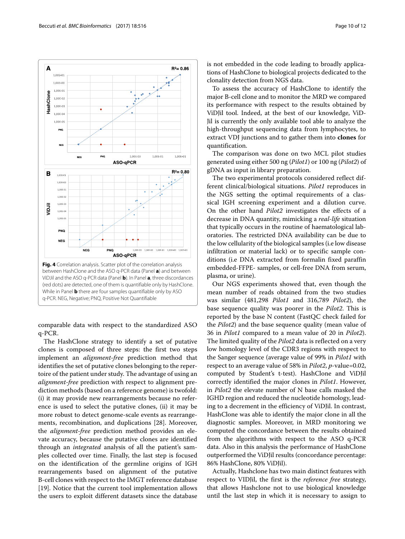

<span id="page-9-1"></span><span id="page-9-0"></span>comparable data with respect to the standardized ASO q-PCR.

The HashClone strategy to identify a set of putative clones is composed of three steps: the first two steps implement an *alignment-free* prediction method that identifies the set of putative clones belonging to the repertoire of the patient under study. The advantage of using an *alignment-free* prediction with respect to alignment prediction methods (based on a reference genome) is twofold: (i) it may provide new rearrangements because no reference is used to select the putative clones, (ii) it may be more robust to detect genome-scale events as rearrangements, recombination, and duplications [\[28\]](#page-11-27). Moreover, the *alignment-free* prediction method provides an elevate accuracy, because the putative clones are identified through an *integrated* analysis of all the patient's samples collected over time. Finally, the last step is focused on the identification of the germline origins of IGH rearrangements based on alignment of the putative B-cell clones with respect to the IMGT reference database [\[19\]](#page-11-18). Notice that the current tool implementation allows the users to exploit different datasets since the database

is not embedded in the code leading to broadly applications of HashClone to biological projects dedicated to the clonality detection from NGS data.

To assess the accuracy of HashClone to identify the major B-cell clone and to monitor the MRD we compared its performance with respect to the results obtained by ViDJil tool. Indeed, at the best of our knowledge, ViD-Jil is currently the only available tool able to analyze the high-throughput sequencing data from lymphocytes, to extract VDJ junctions and to gather them into **clones** for quantification.

The comparison was done on two MCL pilot studies generated using either 500 ng (*Pilot1*) or 100 ng (*Pilot2*) of gDNA as input in library preparation.

The two experimental protocols considered reflect different clinical/biological situations. *Pilot1* reproduces in the NGS setting the optimal requirements of a classical IGH screening experiment and a dilution curve. On the other hand *Pilot2* investigates the effects of a decrease in DNA quantity, mimicking a *real-life* situation that typically occurs in the routine of haematological laboratories. The restricted DNA availability can be due to the low cellularity of the biological samples (i.e low disease infiltration or material lack) or to specific sample conditions (i.e DNA extracted from formalin fixed paraffin embedded-FFPE- samples, or cell-free DNA from serum, plasma, or urine).

Our NGS experiments showed that, even though the mean number of reads obtained from the two studies was similar (481,298 *Pilot1* and 316,789 *Pilot2*), the base sequence quality was poorer in the *Pilot2*. This is reported by the base N content (FastQC check failed for the *Pilot2*) and the base sequence quality (mean value of 36 in *Pilot1* compared to a mean value of 20 in *Pilot2*). The limited quality of the *Pilot2* data is reflected on a very low homology level of the CDR3 regions with respect to the Sanger sequence (average value of 99% in *Pilot1* with respect to an average value of 58% in *Pilot2*, *p*-value=0.02, computed by Student's t-test). HashClone and ViDJil correctly identified the major clones in *Pilot1*. However, in *Pilot2* the elevate number of N base calls masked the IGHD region and reduced the nucleotide homology, leading to a decrement in the efficiency of ViDJil. In contrast, HashClone was able to identify the major clone in all the diagnostic samples. Moreover, in MRD monitoring we computed the concordance between the results obtained from the algorithms with respect to the ASO q-PCR data. Also in this analysis the performance of HashClone outperformed the ViDJil results (concordance percentage: 86% HashClone, 80% ViDJil).

Actually, Hashclone has two main distinct features with respect to VIDJil, the first is the *reference free* strategy, that allows Hashclone not to use biological knowledge until the last step in which it is necessary to assign to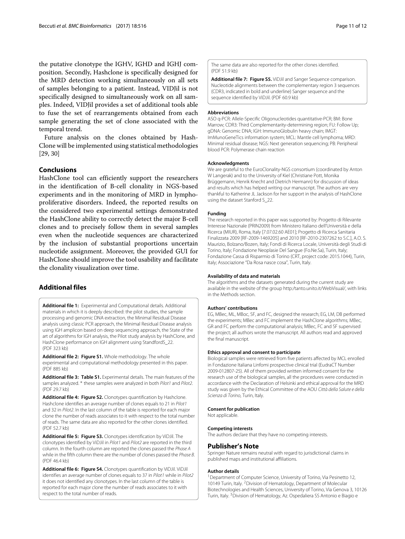the putative clonotype the IGHV, IGHD and IGHJ composition. Secondly, Hashclone is specifically designed for the MRD detection working simultaneously on all sets of samples belonging to a patient. Instead, VIDJil is not specifically designed to simultaneously work on all samples. Indeed, VIDJil provides a set of additional tools able to fuse the set of rearrangements obtained from each sample generating the set of clone associated with the temporal trend.

Future analysis on the clones obtained by Hash-Clone will be implemented using statistical methodologies [\[29,](#page-11-28) [30\]](#page-11-29)

#### **Conclusions**

HashClone tool can efficiently support the researchers in the identification of B-cell clonality in NGS-based experiments and in the monitoring of MRD in lymphoproliferative disorders. Indeed, the reported results on the considered two experimental settings demonstrated the HashClone ability to correctly detect the major B-cell clones and to precisely follow them in several samples even when the nucleotide sequences are characterized by the inclusion of substantial proportions uncertain nucleotide assignment. Moreover, the provided GUI for HashClone should improve the tool usability and facilitate the clonality visualization over time.

# **Additional files**

<span id="page-10-0"></span>**[Additional file 1:](http://dx.doi.org/10.1186/s12859-017-1923-2)** Experimental and Computational details. Additional materials in which it is deeply described: the pilot studies, the sample processing and genomic DNA extraction, the Minimal Residual Disease analysis using classic PCR approach, the Minimal Residual Disease analysis using IGH amplicon based on deep sequencing approach, the State of the art of algorithms for IGH analysis, the Pilot study analysis by HashClone, and HashClone performance on IGH alignment using StandfordS\_22. (PDF 323 kb)

<span id="page-10-1"></span>**[Additional file 2:](http://dx.doi.org/10.1186/s12859-017-1923-2) [Figure S1.](http://dx.doi.org/10.1186/s12859-017-1923-2pdf)** Whole methodology. The whole experimental and computational methodology presented in this paper. (PDF 885 kb)

<span id="page-10-2"></span>**[Additional file 3:](http://dx.doi.org/10.1186/s12859-017-1923-2) [Table S1.](http://dx.doi.org/10.1186/s12859-017-1923-2pdf)** Experimental details. The main features of the samples analyzed. \* these samples were analyzed in both Pilot1 and Pilot2. (PDF 29.7 kb)

<span id="page-10-3"></span>**[Additional file 4:](http://dx.doi.org/10.1186/s12859-017-1923-2) [Figure S2.](http://dx.doi.org/10.1186/s12859-017-1923-2pdf)** Clonotypes quantification by Hashclone. Hashclone identifies an average number of clones equals to 21 in Pilot1 and 32 in Pilot2. In the last column of the table is reported for each major clone the number of reads associates to it with respect to the total number of reads. The same data are also reported for the other clones identified. (PDF 52.7 kb)

<span id="page-10-4"></span>**[Additional file 5:](http://dx.doi.org/10.1186/s12859-017-1923-2) [Figure S3.](http://dx.doi.org/10.1186/s12859-017-1923-2pdf)** Clonotypes identification by ViDJil. The clonotypes identified by ViDJil in Pilot1 and Pilot2 are reported in the third column. In the fourth column are reported the clones passed the Phase A while in the fifth column there are the number of clones passed the Phase B. (PDF 46.4 kb)

<span id="page-10-5"></span>**[Additional file 6:](http://dx.doi.org/10.1186/s12859-017-1923-2) [Figure S4.](http://dx.doi.org/10.1186/s12859-017-1923-2pdf)** Clonotypes quantification by ViDJil. ViDJil identifies an average number of clones equals to 37 in Pilot1 while in Pilot2 it does not identified any clonotypes. In the last column of the table is reported for each major clone the number of reads associates to it with respect to the total number of reads.

The same data are also reported for the other clones identified. (PDF 51.9 kb)

<span id="page-10-6"></span>**[Additional file 7:](http://dx.doi.org/10.1186/s12859-017-1923-2) [Figure S5.](http://dx.doi.org/10.1186/s12859-017-1923-2pdf)** ViDJil and Sanger Sequence comparison. Nucleotide alignments between the complementary region 3 sequences (CDR3, indicated in bold and underline) Sanger sequence and the sequence identified by ViDJil. (PDF 60.9 kb)

#### **Abbreviations**

ASO q-PCR: Allele-Specific Oligonucleotides quantitative-PCR; BM: Bone Marrow; CDR3: Third Complementarity-determining region; FU: Follow Up; gDNA: Genomic DNA; IGH: ImmunoGlobulin heavy chain; IMGT: ImMunoGeneTics information system; MCL: Mantle cell lymphoma; MRD: Minimal residual disease; NGS: Next generation sequencing; PB: Peripheral blood PCR: Polymerase chain reaction

#### **Acknowledgments**

We are grateful to the EuroClonality-NGS consortium (coordinated by Anton W Langerak) and to the University of Kiel (Christiane Pott, Monika Brüggemann, Henrik Knecht and Dietrich Hermann) for discussion of ideas and results which has helped writing our manuscript. The authors are very thankful to Katherine JL Jackson for her support in the analysis of HashClone using the dataset Stanford S\_22.

#### **Funding**

The research reported in this paper was supported by: Progetto di Rilevante Interesse Nazionale (PRIN2009) from Ministero Italiano dell'Università e della Ricerca (MIUR), Roma, Italy [7.07.02.60 AE01]; Progetto di Ricerca Sanitaria Finalizzata 2009 [RF-2009-1469205] and 2010 [RF-2010-2307262 to S.C.], A.O. S. Maurizio, Bolzano/Bozen, Italy; Fondi di Ricerca Locale, Università degli Studi di Torino, Italy; Fondazione Neoplasie Del Sangue (Fo.Ne.Sa), Turin, Italy; Fondazione Cassa di Risparmio di Torino (CRT, project code: 2015.1044), Turin, Italy; Associazione "Da Rosa nasce cosa", Turin, Italy.

#### **Availability of data and materials**

The algorithms and the datasets generated during the current study are available in the website of the group [http:/tanto.unito.it/WebVisual/,](http:/tanto.unito.it/WebVisual/) with links in the Methods section.

#### **Authors' contributions**

EG, MBec, ML, MBoc, SF, and FC, designed the research; EG, LM, DB performed the experiments; MBec and FC implement the HashClone algorithms; MBec, GR and FC perform the computational analysis; MBec, FC and SF supervised the project; all authors wrote the manuscript. All authors read and approved the final manuscript.

#### **Ethics approval and consent to participate**

Biological samples were retrieved from five patients affected by MCL enrolled in Fondazione Italiana Linfomi prospective clinical trial (EudraCT Number 2009-012807-25). All of them provided written informed consent for the research use of the biological samples, all the procedures were conducted in accordance with the Declaration of Helsinki and ethical approval for the MRD study was given by the Ethical Committee of the AOU Città della Salute e della Scienza di Torino, Turin, Italy.

#### **Consent for publication**

Not applicable.

#### **Competing interests**

The authors declare that they have no competing interests.

#### **Publisher's Note**

Springer Nature remains neutral with regard to jurisdictional claims in published maps and institutional affiliations.

#### **Author details**

<sup>1</sup> Department of Computer Science, University of Torino, Via Pesinetto 12, 10149 Turin, Italy. 2Division of Hematology, Department of Molecular Biotechnologies and Health Sciences, University of Torino, Via Genova 3, 10126 Turin, Italy. 3Division of Hematology, Az. Ospedaliera SS Antonio e Biagio e